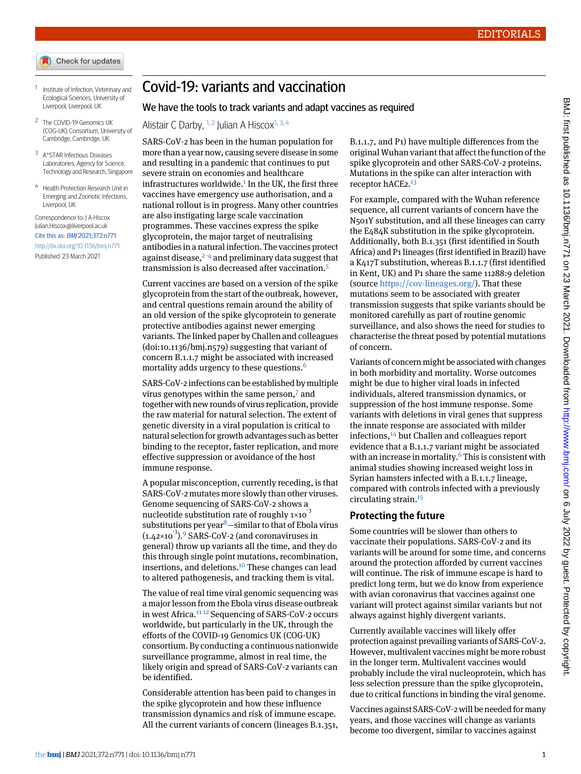- Check for updates
- <span id="page-0-1"></span><span id="page-0-0"></span>1 Institute of Infection, Veterinary and Ecological Sciences, University of Liverpool, Liverpool, UK
- <span id="page-0-2"></span><sup>2</sup> The COVID-19 Genomics UK (COG-UK) Consortium, University of Cambridge, Cambridge, UK
- <span id="page-0-3"></span><sup>3</sup> A\*STAR Infectious Diseases Laboratories, Agency for Science, Technology and Research, Singapore
- <sup>4</sup> Health Protection Research Unit in Emerging and Zoonotic Infections, Liverpool, UK

Correspondence to: J A Hiscox [Julian.Hiscox@liverpool.ac.uk](mailto:Julian.Hiscox@liverpool.ac.uk) Cite this as: BMJ 2021;372:n771

<http://dx.doi.org/10.1136/bmj.n771> Published: 23 March 2021

## Covid-19: variants and vaccination

## We have the tools to track variants and adapt vaccines as required

Alistair C Darby, <sup>[1](#page-0-0), [2](#page-0-1)</sup> Julian A Hiscox<sup>[1,](#page-0-0) [3,](#page-0-2) [4](#page-0-3)</sup>

SARS-CoV-2 has been in the human population for more than a year now, causing severe disease in some and resulting in a pandemic that continues to put severe strain on economies and healthcare infrastructures worldwide.<sup>[1](#page-1-0)</sup> In the UK, the first three vaccines have emergency use authorisation, and a national rollout is in progress. Many other countries are also instigating large scale vaccination programmes. These vaccines express the spike glycoprotein, the major target of neutralising antibodies in a natural infection. The vaccines protect against disease, $2-4$  $2-4$  $2-4$  and preliminary data suggest that transmission is also decreased after vaccination.<sup>[5](#page-1-4)</sup>

Current vaccines are based on a version of the spike glycoprotein from the start of the outbreak, however, and central questions remain around the ability of an old version of the spike glycoprotein to generate protective antibodies against newer emerging variants. The linked paper by Challen and colleagues (doi[:10.1136/bmj.n579\)](http://dx.doi.org/10.1136/bmj.n579) suggesting that variant of concern B.1.1.7 might be associated with increased mortality adds urgency to these questions.<sup>[6](#page-1-5)</sup>

SARS-CoV-2 infections can be established by multiple virus genotypes within the same person,[7](#page-1-6) and together with new rounds of virus replication, provide the raw material for natural selection. The extent of genetic diversity in a viral population is critical to natural selection for growth advantages such as better binding to the receptor, faster replication, and more effective suppression or avoidance of the host immune response.

A popular misconception, currently receding, is that SARS-CoV-2 mutates more slowly than other viruses. Genome sequencing of SARS-CoV-2 shows a nucleotide substitution rate of roughly  $1\times10^{-3}$ substitutions per year $8 8-$ similar to that of Ebola virus  $(1.42\times10^{-3})$ . SARS-CoV-2 (and coronaviruses in general) throw up variants all the time, and they do this through single point mutations, recombination, insertions, and deletions.[10](#page-1-9) These changes can lead to altered pathogenesis, and tracking them is vital.

The value of real time viral genomic sequencing was a major lesson from the Ebola virus disease outbreak in west Africa.[11](#page-1-10) [12](#page-1-11) Sequencing of SARS-CoV-2 occurs worldwide, but particularly in the UK, through the efforts of the COVID-19 Genomics UK (COG-UK) consortium. By conducting a continuous nationwide surveillance programme, almost in real time, the likely origin and spread of SARS-CoV-2 variants can be identified.

Considerable attention has been paid to changes in the spike glycoprotein and how these influence transmission dynamics and risk of immune escape. All the current variants of concern (lineages B.1.351,

B.1.1.7, and P1) have multiple differences from the original Wuhan variant that affect the function of the spike glycoprotein and other SARS-CoV-2 proteins. Mutations in the spike can alter interaction with receptor hACE2.<sup>[13](#page-1-12)</sup>

For example, compared with the Wuhan reference sequence, all current variants of concern have the N501Y substitution, and all these lineages can carry the E484K substitution in the spike glycoprotein. Additionally, both B.1.351 (first identified in South Africa) and P1 lineages (first identified in Brazil) have a K417T substitution, whereas B.1.1.7 (first identified in Kent, UK) and P1 share the same 11288:9 deletion (source [https://cov-lineages.org/\)](https://cov-lineages.org/). That these mutations seem to be associated with greater transmission suggests that spike variants should be monitored carefully as part of routine genomic surveillance, and also shows the need for studies to characterise the threat posed by potential mutations of concern.

Variants of concern might be associated with changes in both morbidity and mortality. Worse outcomes might be due to higher viral loads in infected individuals, altered transmission dynamics, or suppression of the host immune response. Some variants with deletions in viral genes that suppress the innate response are associated with milder infections,[14](#page-1-13) but Challen and colleagues report evidence that a B.1.1.7 variant might be associated with an increase in mortality. $6$  This is consistent with animal studies showing increased weight loss in Syrian hamsters infected with a B.1.1.7 lineage, compared with controls infected with a previously circulating strain.[15](#page-1-14)

## **Protecting the future**

Some countries will be slower than others to vaccinate their populations. SARS-CoV-2 and its variants will be around for some time, and concerns around the protection afforded by current vaccines will continue. The risk of immune escape is hard to predict long term, but we do know from experience with avian coronavirus that vaccines against one variant will protect against similar variants but not always against highly divergent variants.

Currently available vaccines will likely offer protection against prevailing variants of SARS-CoV-2. However, multivalent vaccines might be more robust in the longer term. Multivalent vaccines would probably include the viral nucleoprotein, which has less selection pressure than the spike glycoprotein, due to critical functions in binding the viral genome.

Vaccines against SARS-CoV-2 will be needed for many years, and those vaccines will change as variants become too divergent, similar to vaccines against